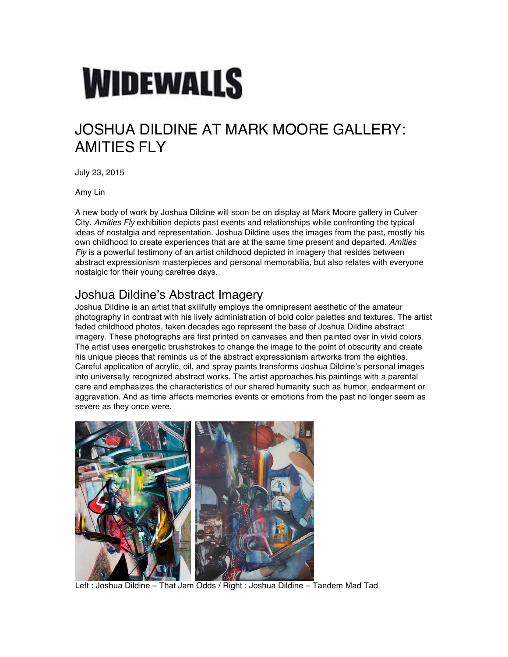# **WIDEWALLS**

# JOSHUA DILDINE AT MARK MOORE GALLERY: **AMITIES FLY**

July 23, 2015

Amy Lin

A new body of work by Joshua Dildine will soon be on display at Mark Moore gallery in Culver City. *Amities Fly* exhibition depicts past events and relationships while confronting the typical ideas of nostalgia and representation. Joshua Dildine uses the images from the past, mostly his own childhood to create experiences that are at the same time present and departed. *Amities Fly* is a powerful testimony of an artist childhood depicted in imagery that resides between abstract expressionism masterpieces and personal memorabilia, but also relates with everyone nostalgic for their young carefree days.

#### Joshua Dildine's Abstract Imagery

Joshua Dildine is an artist that skillfully employs the omnipresent aesthetic of the amateur photography in contrast with his lively administration of bold color palettes and textures. The artist faded childhood photos, taken decades ago represent the base of Joshua Dildine abstract imagery. These photographs are first printed on canvases and then painted over in vivid colors. The artist uses energetic brushstrokes to change the image to the point of obscurity and create his unique pieces that reminds us of the abstract expressionism artworks from the eighties. Careful application of acrylic, oil, and spray paints transforms Joshua Dildine's personal images into universally recognized abstract works. The artist approaches his paintings with a parental care and emphasizes the characteristics of our shared humanity such as humor, endearment or aggravation. And as time affects memories events or emotions from the past no longer seem as severe as they once were.



Left : Joshua Dildine – That Jam Odds / Right : Joshua Dildine – Tandem Mad Tad